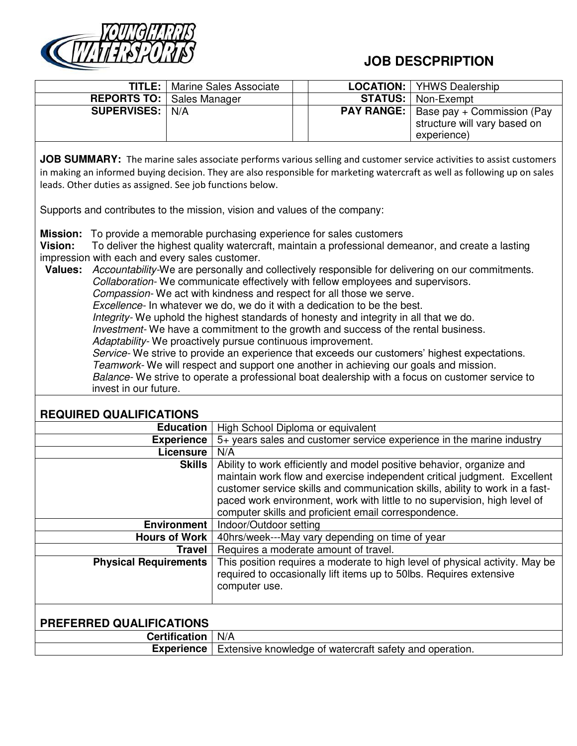

## **JOB DESCPRIPTION**

|                                    | <b>TITLE:</b>   Marine Sales Associate |  | <b>LOCATION:</b>   YHWS Dealership             |
|------------------------------------|----------------------------------------|--|------------------------------------------------|
| <b>REPORTS TO:   Sales Manager</b> |                                        |  | <b>STATUS:</b>   Non-Exempt                    |
| <b>SUPERVISES:   N/A</b>           |                                        |  | <b>PAY RANGE:</b>   Base pay + Commission (Pay |
|                                    |                                        |  | structure will vary based on                   |
|                                    |                                        |  | experience)                                    |

**JOB SUMMARY:** The marine sales associate performs various selling and customer service activities to assist customers in making an informed buying decision. They are also responsible for marketing watercraft as well as following up on sales leads. Other duties as assigned. See job functions below.

Supports and contributes to the mission, vision and values of the company:

**Mission:** To provide a memorable purchasing experience for sales customers

**Vision:** To deliver the highest quality watercraft, maintain a professional demeanor, and create a lasting impression with each and every sales customer.

**Values:** Accountability-We are personally and collectively responsible for delivering on our commitments. Collaboration- We communicate effectively with fellow employees and supervisors. Compassion- We act with kindness and respect for all those we serve. Excellence- In whatever we do, we do it with a dedication to be the best. Integrity- We uphold the highest standards of honesty and integrity in all that we do. Investment- We have a commitment to the growth and success of the rental business. Adaptability- We proactively pursue continuous improvement. Service- We strive to provide an experience that exceeds our customers' highest expectations.

Teamwork- We will respect and support one another in achieving our goals and mission. Balance- We strive to operate a professional boat dealership with a focus on customer service to invest in our future.

## **REQUIRED QUALIFICATIONS**

| <b>Education</b>                | High School Diploma or equivalent                                                                                                                                                                                                                                                                                                                                      |  |  |
|---------------------------------|------------------------------------------------------------------------------------------------------------------------------------------------------------------------------------------------------------------------------------------------------------------------------------------------------------------------------------------------------------------------|--|--|
| <b>Experience</b>               | 5+ years sales and customer service experience in the marine industry                                                                                                                                                                                                                                                                                                  |  |  |
| Licensure                       | N/A                                                                                                                                                                                                                                                                                                                                                                    |  |  |
| <b>Skills</b>                   | Ability to work efficiently and model positive behavior, organize and<br>maintain work flow and exercise independent critical judgment. Excellent<br>customer service skills and communication skills, ability to work in a fast-<br>paced work environment, work with little to no supervision, high level of<br>computer skills and proficient email correspondence. |  |  |
| <b>Environment</b>              | Indoor/Outdoor setting                                                                                                                                                                                                                                                                                                                                                 |  |  |
| <b>Hours of Work</b>            | 40hrs/week---May vary depending on time of year                                                                                                                                                                                                                                                                                                                        |  |  |
| <b>Travel</b>                   | Requires a moderate amount of travel.                                                                                                                                                                                                                                                                                                                                  |  |  |
| <b>Physical Requirements</b>    | This position requires a moderate to high level of physical activity. May be<br>required to occasionally lift items up to 50lbs. Requires extensive<br>computer use.                                                                                                                                                                                                   |  |  |
| <b>PREFERRED QUALIFICATIONS</b> |                                                                                                                                                                                                                                                                                                                                                                        |  |  |
| <b>Certification</b>            | N/A                                                                                                                                                                                                                                                                                                                                                                    |  |  |
| <b>Experience</b>               | Extensive knowledge of watercraft safety and operation.                                                                                                                                                                                                                                                                                                                |  |  |